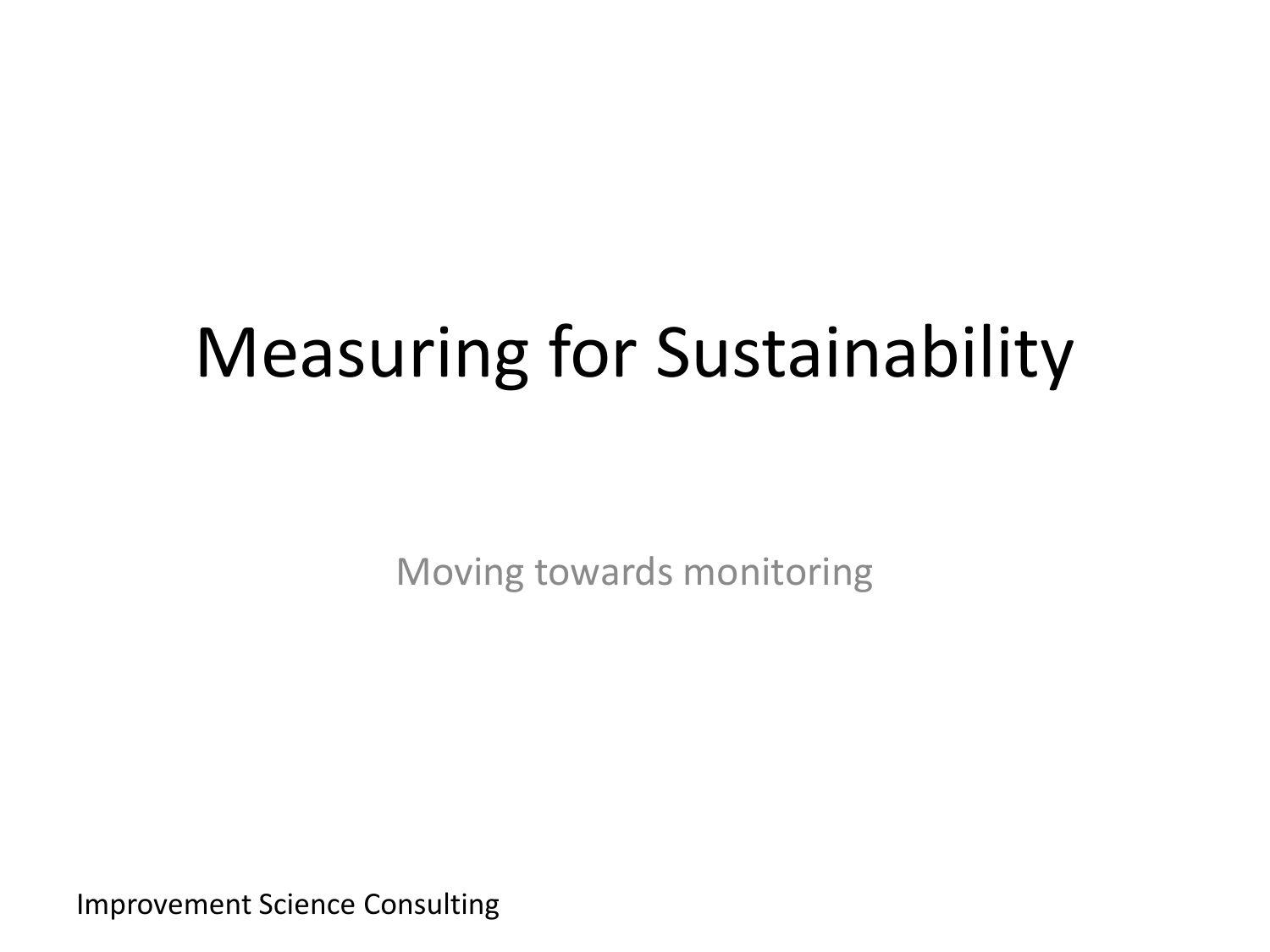# Measuring for Sustainability

Moving towards monitoring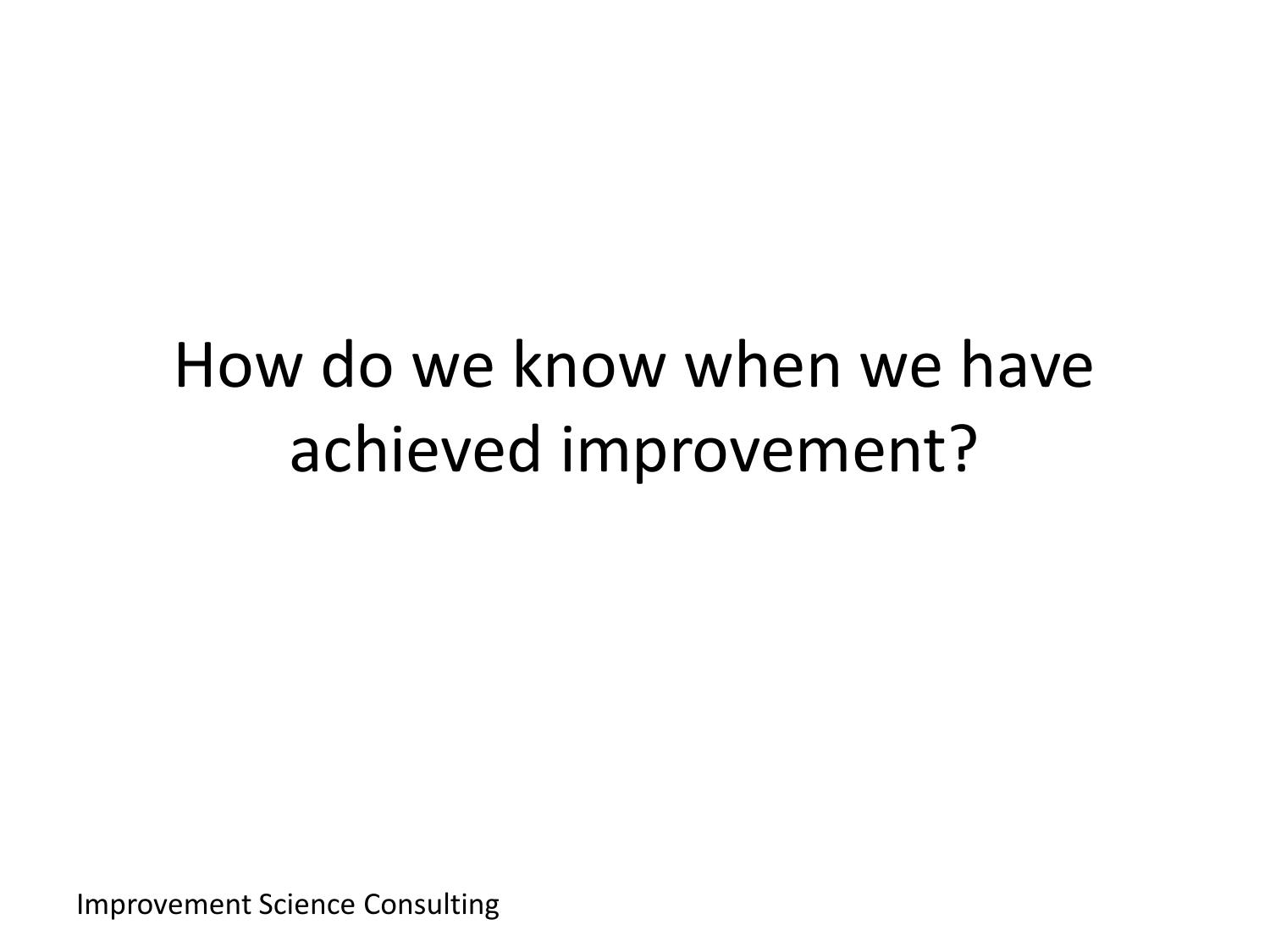### How do we know when we have achieved improvement?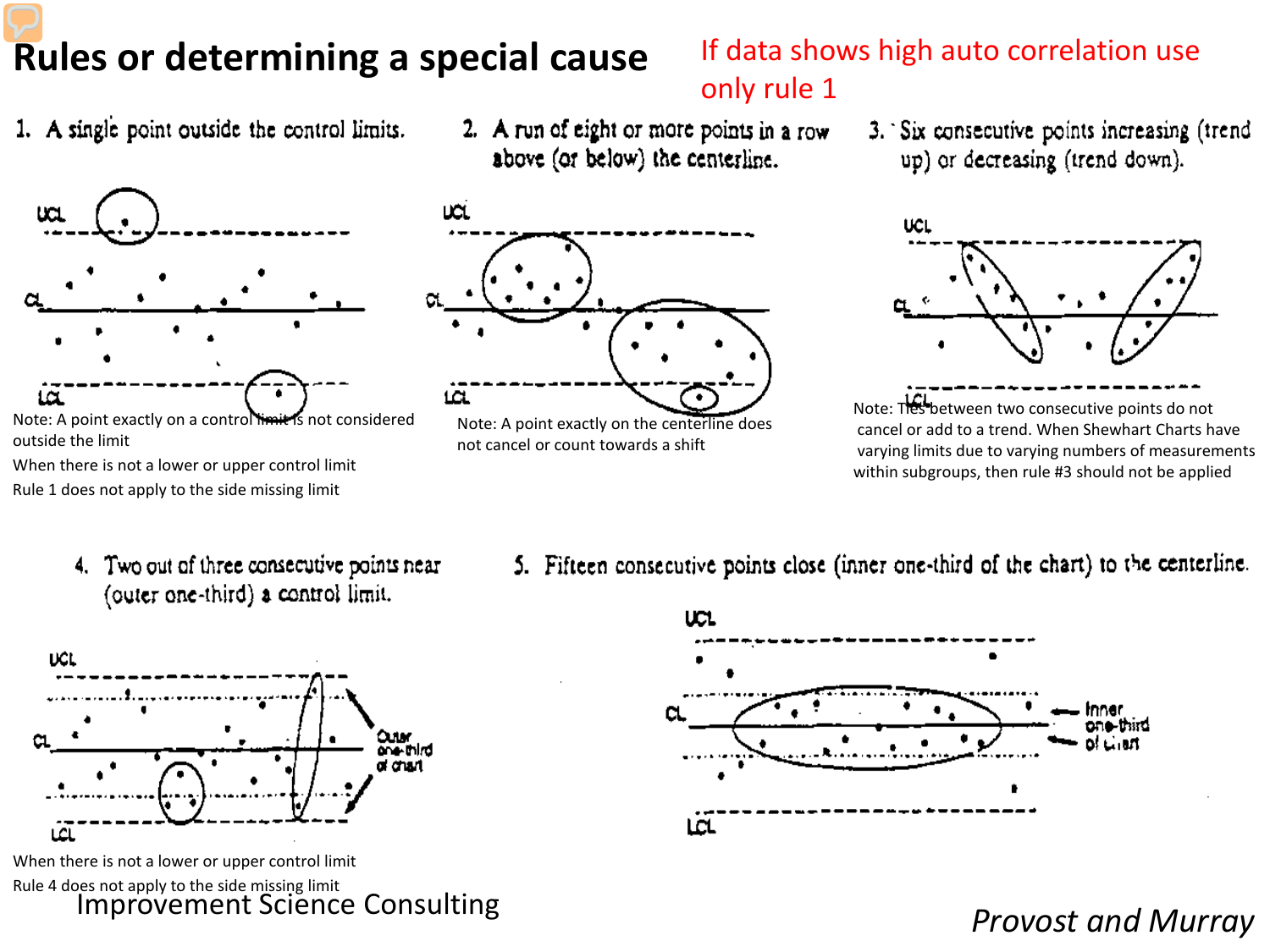### **Rules or determining a special cause**

1. A single point outside the control limits.



Note: A point exactly on a control limit is not considered outside the limit

When there is not a lower or upper control limit Rule 1 does not apply to the side missing limit

2. A run of eight or more points in a row above (or below) the centerline.



If data shows high auto correlation use



Note: A point exactly on the centerline does not cancel or count towards a shift



Note: Thes between two consecutive points do not cancel or add to a trend. When Shewhart Charts have varying limits due to varying numbers of measurements within subgroups, then rule #3 should not be applied

- 4. Two out of three consecutive points near (outer one-third) a control limit.
- 5. Fifteen consecutive points close (inner one-third of the chart) to the centerline.



Improvement Science Consulting When there is not a lower or upper control limit Rule 4 does not apply to the side missing limit



*Provost and Murray* 

only rule 1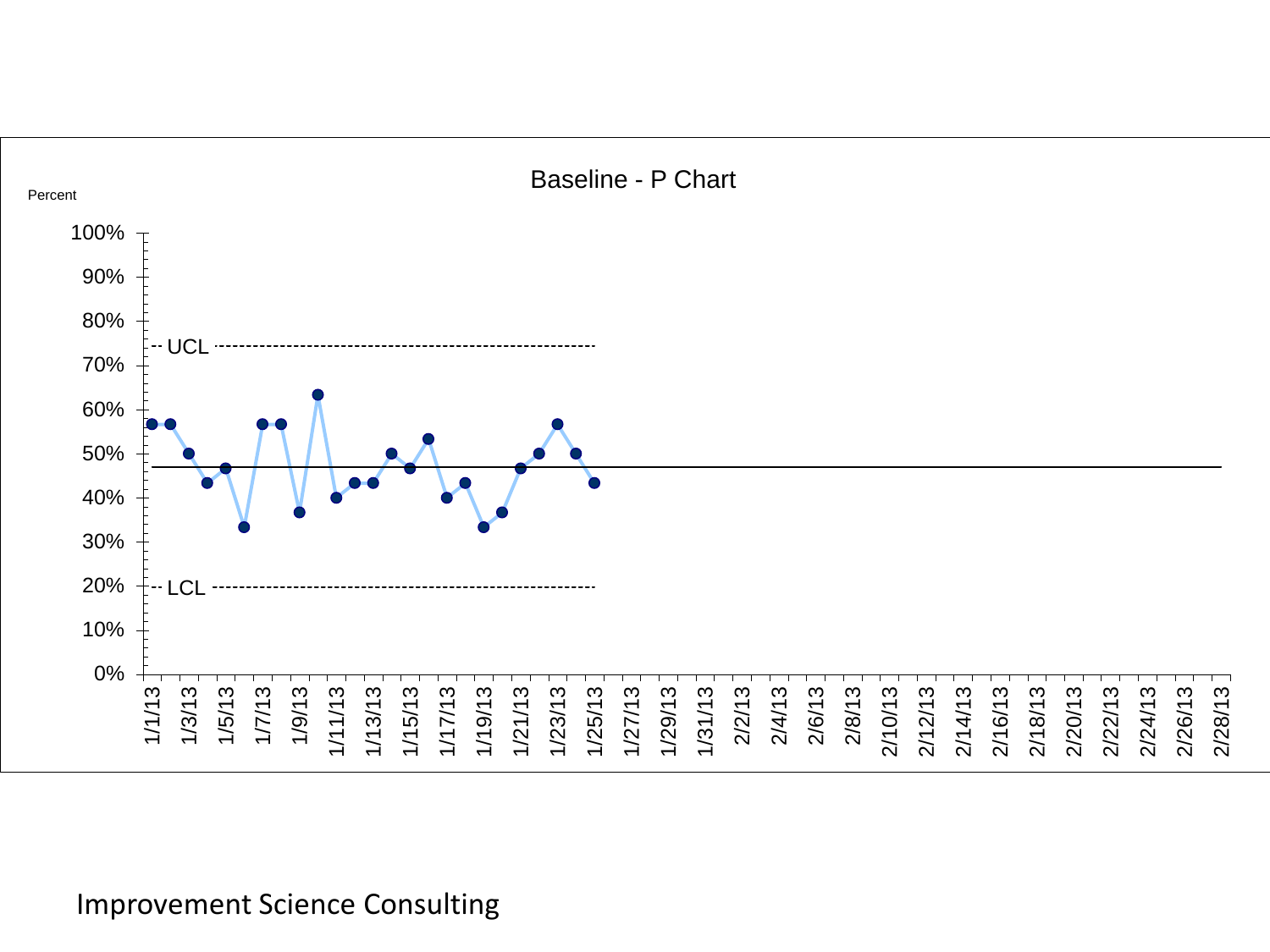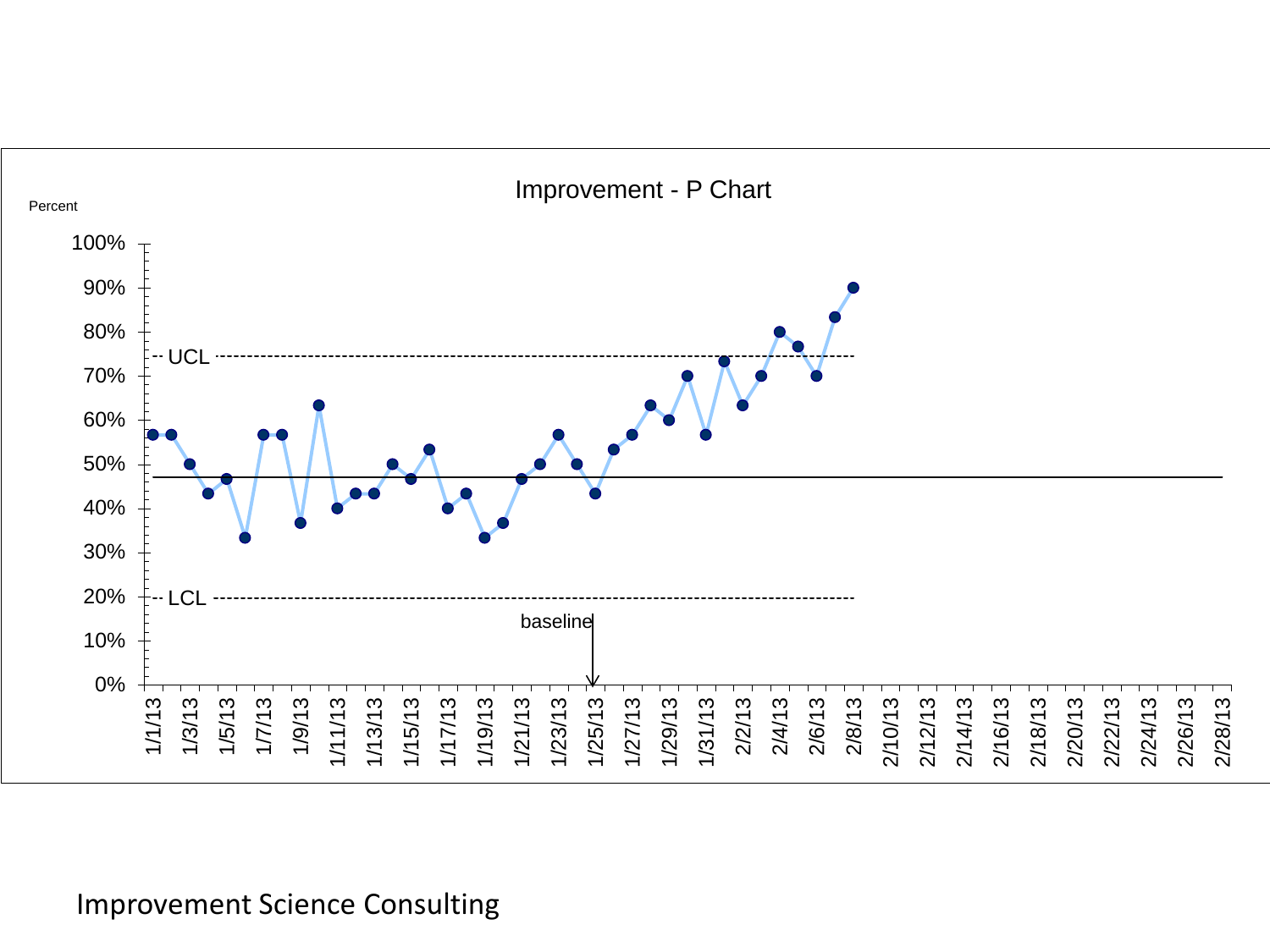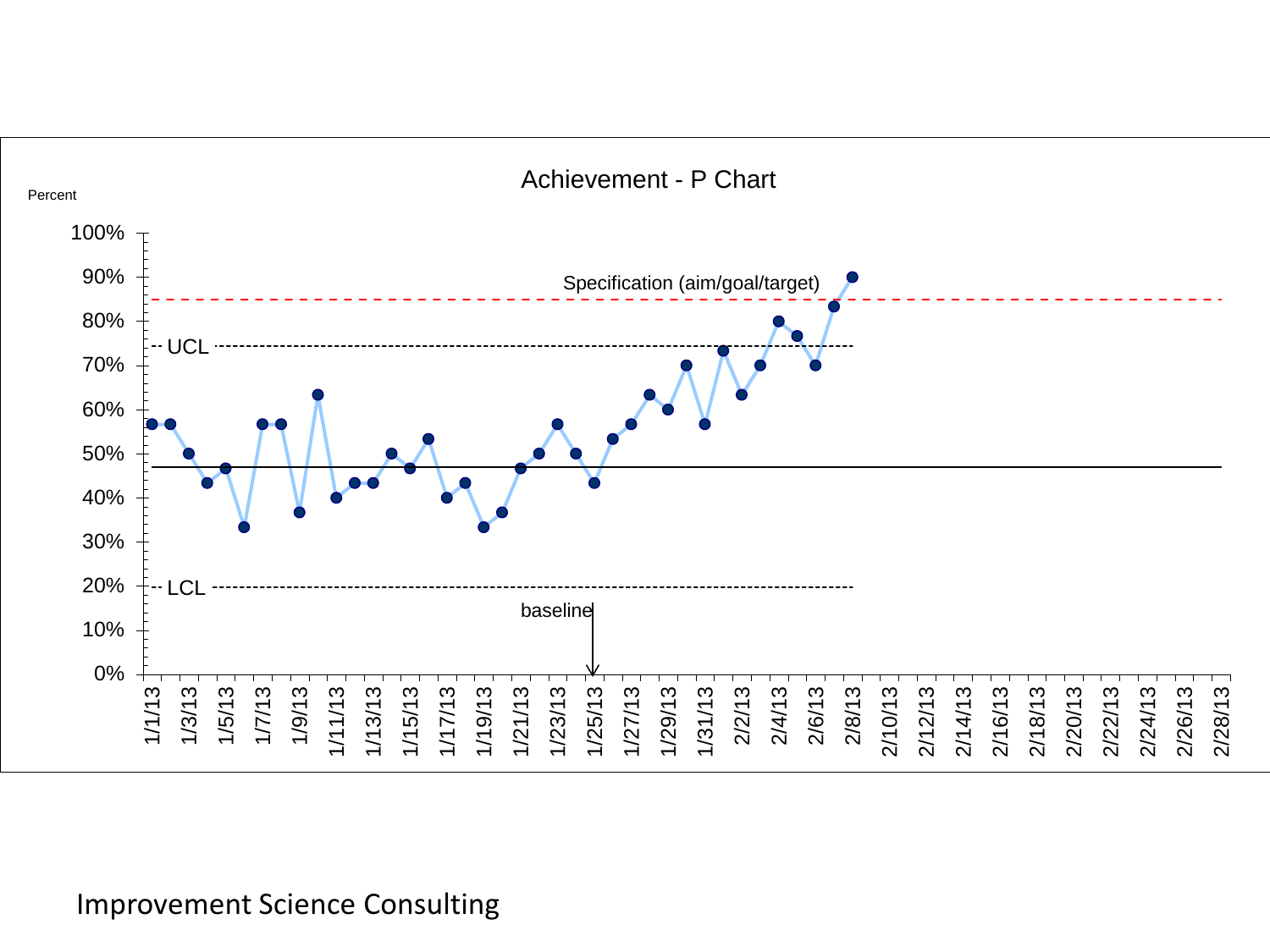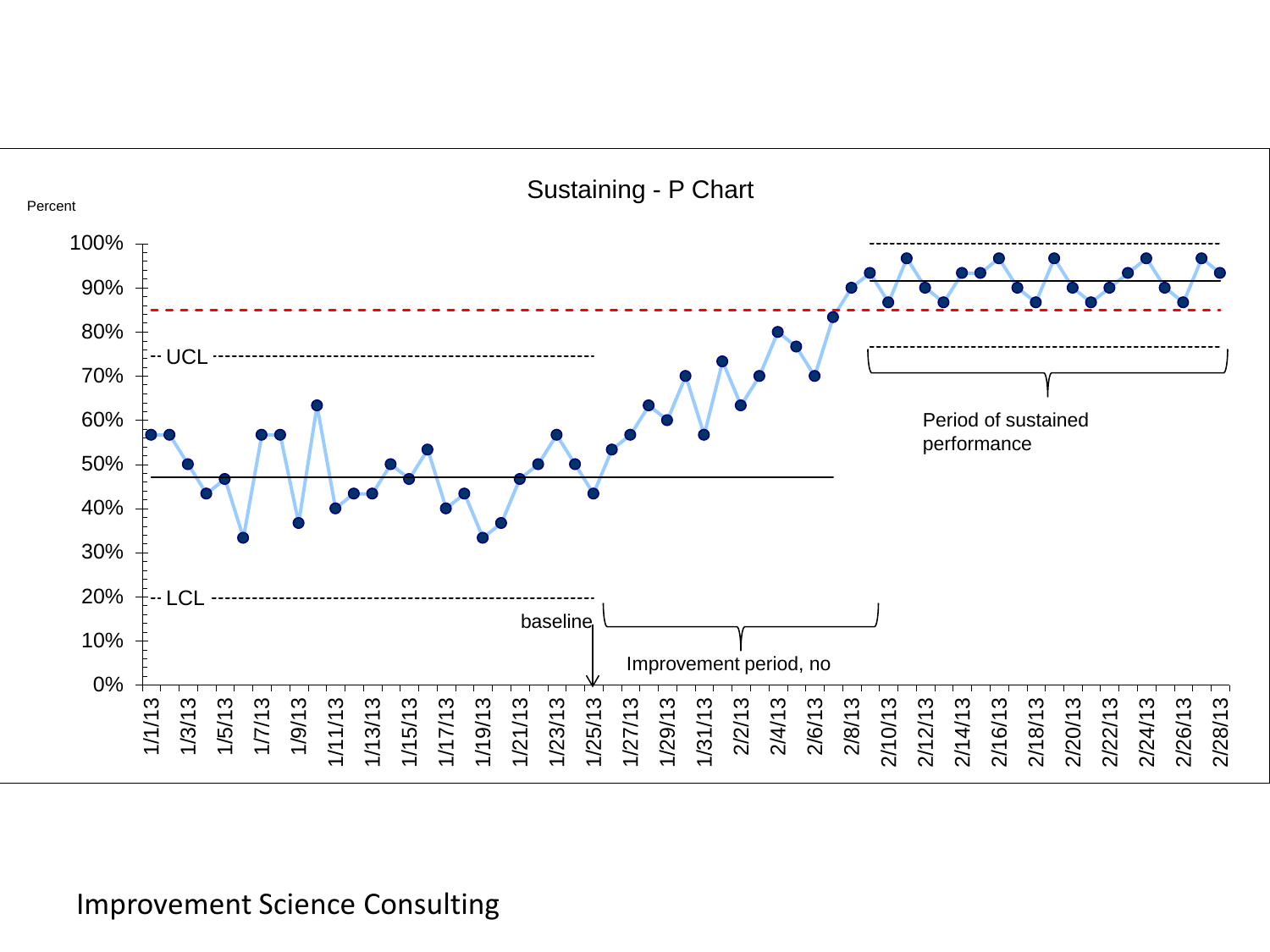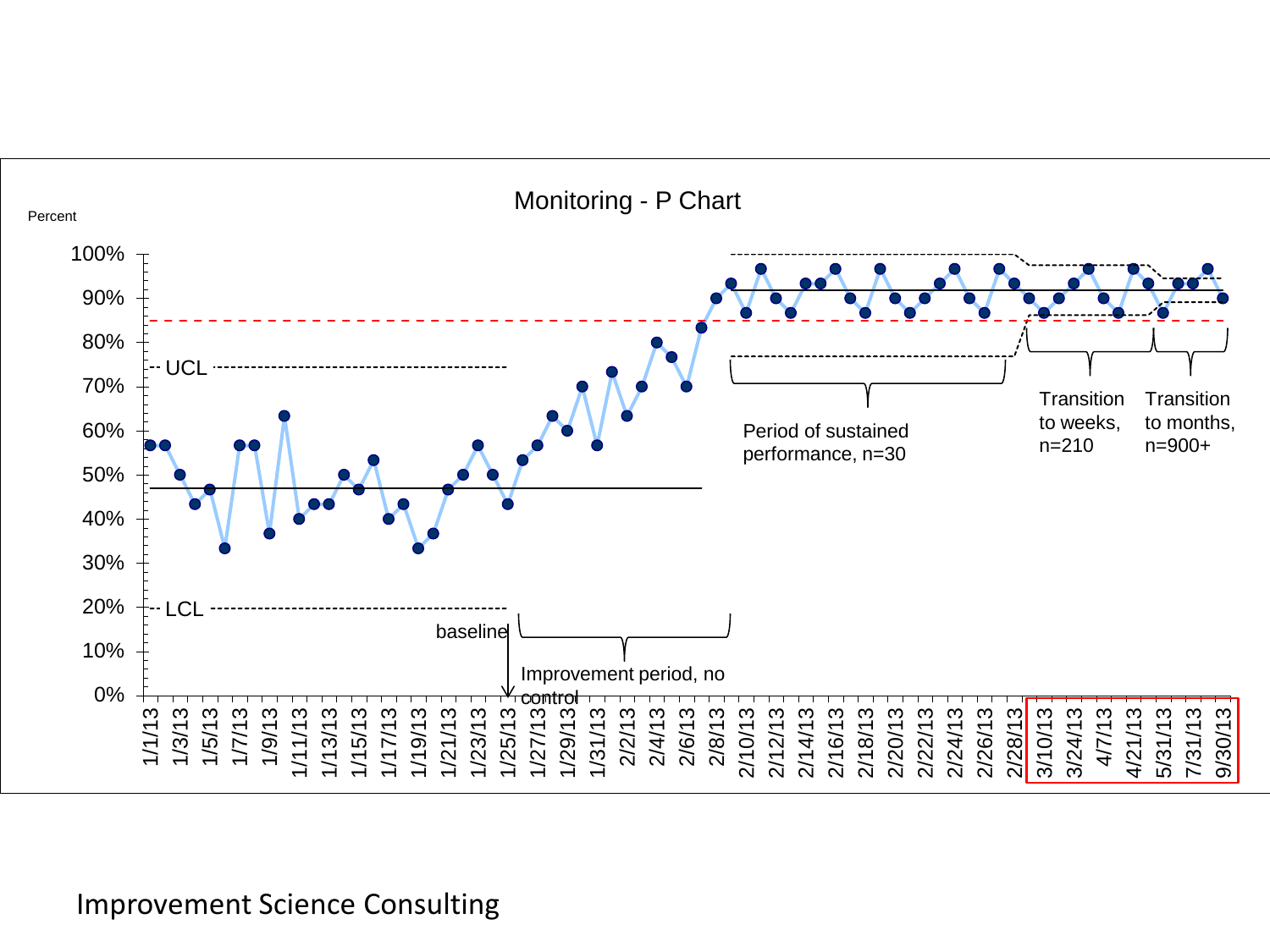

Monitoring - P Chart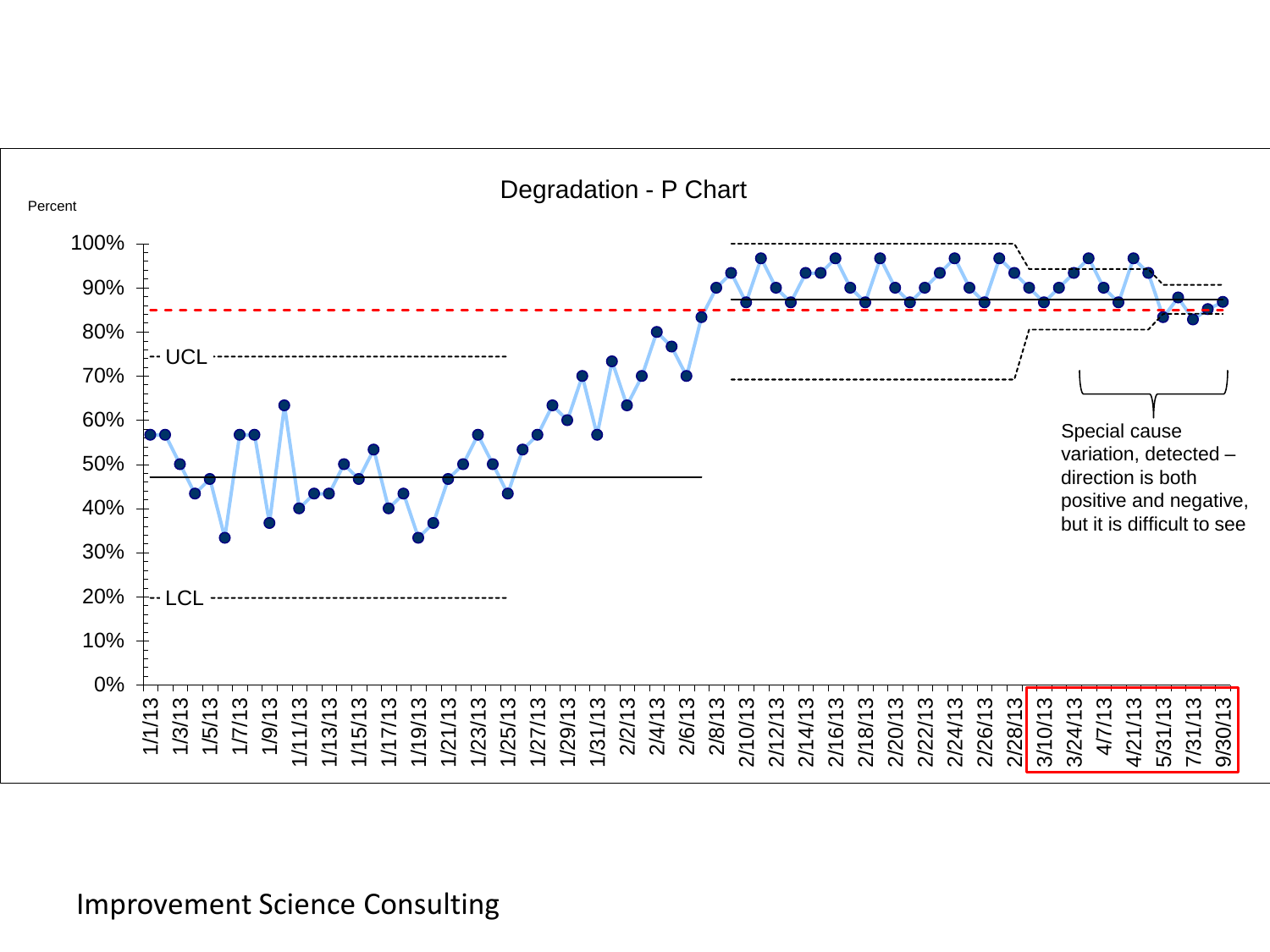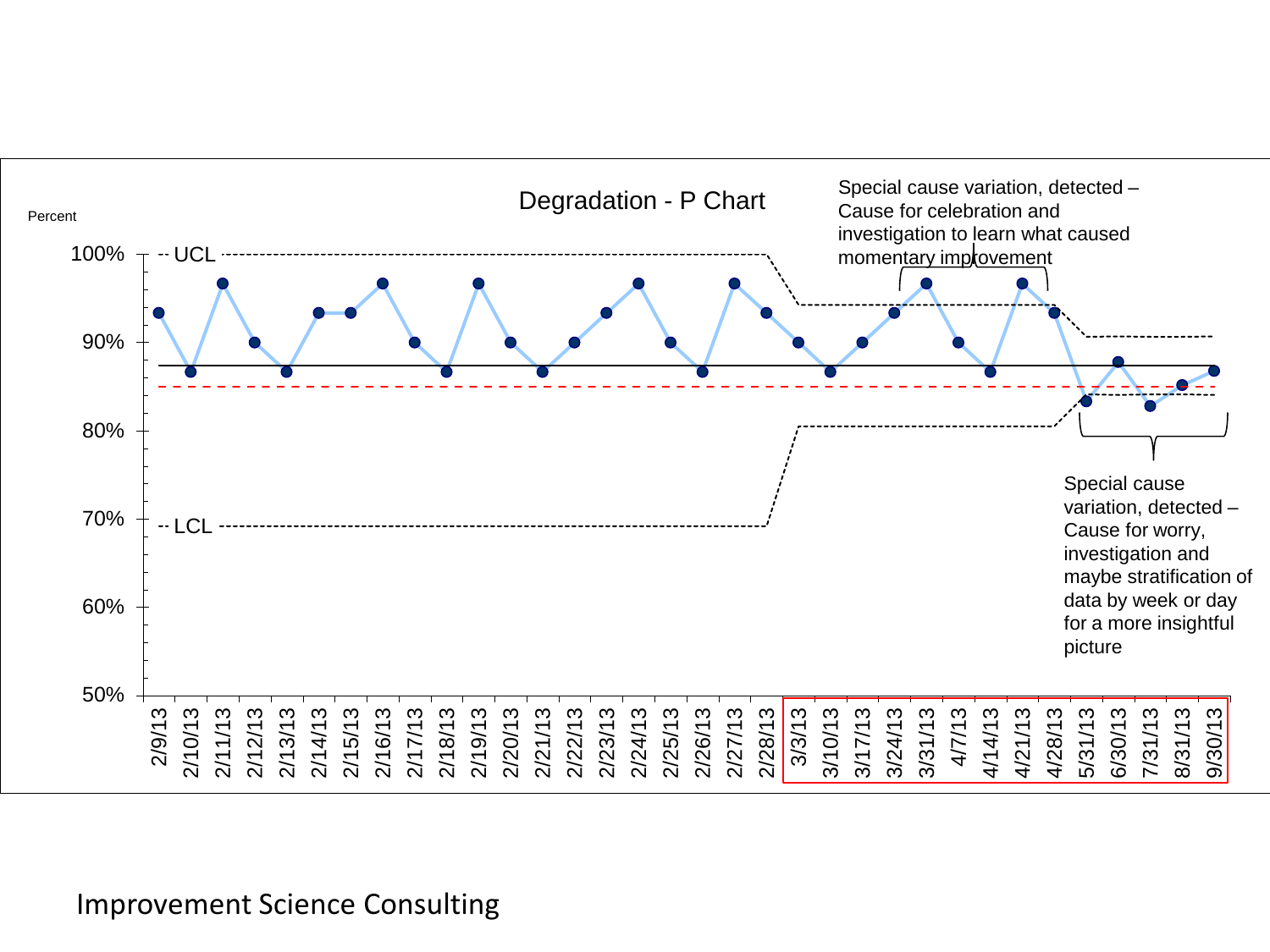